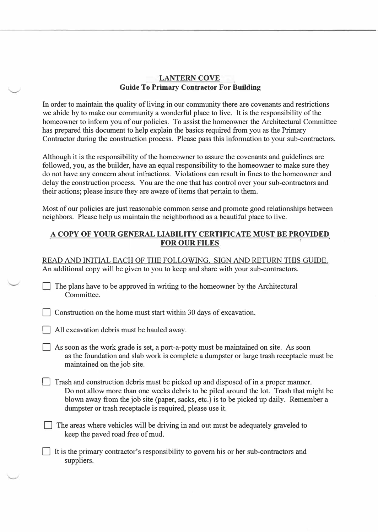## **LANTERN COVE Guide To Primary Contractor For Building**

In order to maintain the quality of living in our community there are covenants and restrictions we abide by to make our community a wonderful place to live. It is the responsibility of the homeowner to inform you of our policies. To assist the homeowner the Architectural Committee has prepared this document to help explain the basics required from you as the Primary Contractor during the construction process. Please pass this information to your sub-contractors.

Although it is the responsibility of the homeowner to assure the covenants and guidelines are followed, you, as the builder, have an equal responsibility to the homeowner to make sure they do not have any concern about infractions. Violations can result in fines to the homeowner and delay the construction process. You are the one that has control over your sub-contractors and their actions; please insure they are aware of items that pertain to them.

Most of our policies are just reasonable common sense and promote good relationships between neighbors. Please help us maintain the neighborhood as a beautiful place to live.

## **A COPY OF YOUR GENERAL LIABILITY CERTIFICATE MUST BE PROVIDED FOR OUR FILES**

READ AND INITIAL EACH OF THE FOLLOWING. SIGN AND RETURN THIS GUIDE. An additional copy will be given to you to keep and share with your sub-contractors.

 $\Box$  The plans have to be approved in writing to the homeowner by the Architectural Committee.

 $\Box$  Construction on the home must start within 30 days of excavation.

 $\Box$  All excavation debris must be hauled away.

- D As soon as the work grade is set, a port-a-potty must be maintained on site. As soon as the foundation and slab work is complete a dumpster or large trash receptacle must be maintained on the job site.
- $\Box$  Trash and construction debris must be picked up and disposed of in a proper manner. Do not allow more than one weeks debris to be piled around the lot. Trash that might be blown away from the job site (paper, sacks, etc.) is to be picked up daily. Remember a dumpster or trash receptacle is required, please use it.
	- D The areas where vehicles will be driving in and out must be adequately graveled to keep the paved road free of mud.
	- It is the primary contractor's responsibility to govern his or her sub-contractors and suppliers.